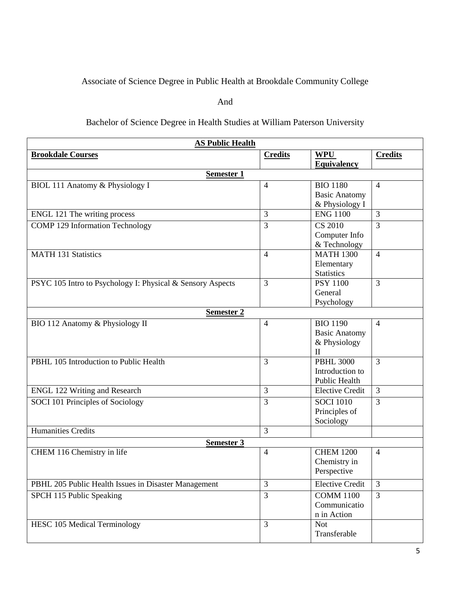## Associate of Science Degree in Public Health at Brookdale Community College

## And

## Bachelor of Science Degree in Health Studies at William Paterson University

| <b>AS Public Health</b>                                    |                |                                  |                |  |  |
|------------------------------------------------------------|----------------|----------------------------------|----------------|--|--|
| <b>Brookdale Courses</b>                                   | <b>Credits</b> | <b>WPU</b><br><b>Equivalency</b> | <b>Credits</b> |  |  |
| Semester 1                                                 |                |                                  |                |  |  |
| BIOL 111 Anatomy & Physiology I                            | 4              | <b>BIO 1180</b>                  | $\overline{4}$ |  |  |
|                                                            |                | <b>Basic Anatomy</b>             |                |  |  |
|                                                            |                | & Physiology I                   |                |  |  |
| ENGL 121 The writing process                               | 3              | <b>ENG 1100</b>                  | 3              |  |  |
| <b>COMP 129 Information Technology</b>                     | 3              | <b>CS 2010</b>                   | $\overline{3}$ |  |  |
|                                                            |                | Computer Info<br>& Technology    |                |  |  |
| MATH 131 Statistics                                        | $\overline{4}$ | <b>MATH 1300</b>                 | $\overline{4}$ |  |  |
|                                                            |                | Elementary                       |                |  |  |
|                                                            |                | <b>Statistics</b>                |                |  |  |
| PSYC 105 Intro to Psychology I: Physical & Sensory Aspects | 3              | <b>PSY 1100</b>                  | 3              |  |  |
|                                                            |                | General                          |                |  |  |
|                                                            |                | Psychology                       |                |  |  |
| <b>Semester 2</b>                                          |                |                                  |                |  |  |
| BIO 112 Anatomy & Physiology II                            | $\overline{4}$ | <b>BIO 1190</b>                  | $\overline{4}$ |  |  |
|                                                            |                | <b>Basic Anatomy</b>             |                |  |  |
|                                                            |                | & Physiology                     |                |  |  |
|                                                            |                | $\mathbf{I}$                     |                |  |  |
| PBHL 105 Introduction to Public Health                     | 3              | <b>PBHL 3000</b>                 | $\overline{3}$ |  |  |
|                                                            |                | Introduction to<br>Public Health |                |  |  |
| <b>ENGL 122 Writing and Research</b>                       | 3              | <b>Elective Credit</b>           | 3              |  |  |
| SOCI 101 Principles of Sociology                           | 3              | <b>SOCI 1010</b>                 | 3              |  |  |
|                                                            |                | Principles of                    |                |  |  |
|                                                            |                | Sociology                        |                |  |  |
| <b>Humanities Credits</b>                                  | 3              |                                  |                |  |  |
| Semester 3                                                 |                |                                  |                |  |  |
| CHEM 116 Chemistry in life                                 | $\overline{4}$ | <b>CHEM 1200</b>                 | $\overline{4}$ |  |  |
|                                                            |                | Chemistry in                     |                |  |  |
|                                                            |                | Perspective                      |                |  |  |
| PBHL 205 Public Health Issues in Disaster Management       | 3              | <b>Elective Credit</b>           | $\mathfrak{Z}$ |  |  |
| SPCH 115 Public Speaking                                   | 3              | <b>COMM 1100</b>                 | $\overline{3}$ |  |  |
|                                                            |                | Communicatio                     |                |  |  |
|                                                            |                | n in Action                      |                |  |  |
| <b>HESC 105 Medical Terminology</b>                        | 3              | <b>Not</b>                       |                |  |  |
|                                                            |                | Transferable                     |                |  |  |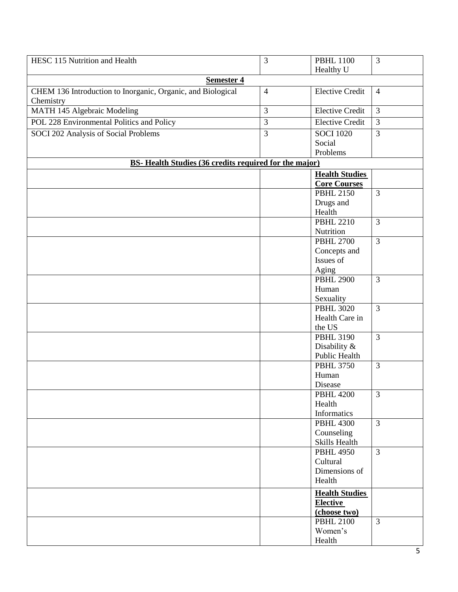| HESC 115 Nutrition and Health                                | 3              | <b>PBHL 1100</b>         | $\overline{3}$ |
|--------------------------------------------------------------|----------------|--------------------------|----------------|
|                                                              |                | Healthy U                |                |
| Semester 4                                                   |                |                          |                |
| CHEM 136 Introduction to Inorganic, Organic, and Biological  | $\overline{4}$ | <b>Elective Credit</b>   | $\overline{4}$ |
| Chemistry                                                    |                |                          |                |
| MATH 145 Algebraic Modeling                                  | 3              | <b>Elective Credit</b>   | $\overline{3}$ |
| POL 228 Environmental Politics and Policy                    | 3              | <b>Elective Credit</b>   | $\overline{3}$ |
| SOCI 202 Analysis of Social Problems                         | 3              | <b>SOCI 1020</b>         | $\overline{3}$ |
|                                                              |                | Social                   |                |
|                                                              |                | Problems                 |                |
| <b>BS-Health Studies (36 credits required for the major)</b> |                |                          |                |
|                                                              |                | <b>Health Studies</b>    |                |
|                                                              |                | <b>Core Courses</b>      |                |
|                                                              |                | <b>PBHL 2150</b>         | $\overline{3}$ |
|                                                              |                | Drugs and                |                |
|                                                              |                | Health                   |                |
|                                                              |                | <b>PBHL 2210</b>         | 3              |
|                                                              |                | Nutrition                |                |
|                                                              |                | <b>PBHL 2700</b>         | $\overline{3}$ |
|                                                              |                | Concepts and             |                |
|                                                              |                | Issues of                |                |
|                                                              |                | Aging                    |                |
|                                                              |                | <b>PBHL 2900</b>         | $\overline{3}$ |
|                                                              |                | Human                    |                |
|                                                              |                | Sexuality                |                |
|                                                              |                | <b>PBHL 3020</b>         | $\overline{3}$ |
|                                                              |                | Health Care in<br>the US |                |
|                                                              |                | <b>PBHL 3190</b>         | $\overline{3}$ |
|                                                              |                | Disability &             |                |
|                                                              |                | Public Health            |                |
|                                                              |                | <b>PBHL 3750</b>         | $\overline{3}$ |
|                                                              |                | Human                    |                |
|                                                              |                | Disease                  |                |
|                                                              |                | <b>PBHL 4200</b>         | 3              |
|                                                              |                | Health                   |                |
|                                                              |                | Informatics              |                |
|                                                              |                | <b>PBHL 4300</b>         | $\overline{3}$ |
|                                                              |                | Counseling               |                |
|                                                              |                | Skills Health            |                |
|                                                              |                | <b>PBHL 4950</b>         | $\overline{3}$ |
|                                                              |                | Cultural                 |                |
|                                                              |                | Dimensions of            |                |
|                                                              |                | Health                   |                |
|                                                              |                | <b>Health Studies</b>    |                |
|                                                              |                | <b>Elective</b>          |                |
|                                                              |                | (choose two)             |                |
|                                                              |                | <b>PBHL 2100</b>         | $\overline{3}$ |
|                                                              |                | Women's                  |                |
|                                                              |                | Health                   |                |